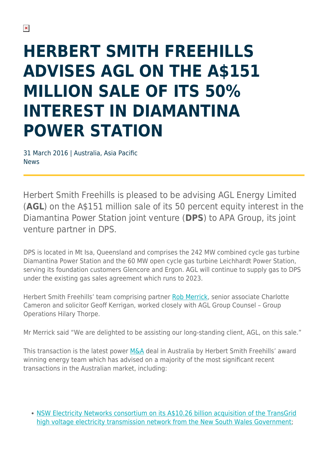## **HERBERT SMITH FREEHILLS ADVISES AGL ON THE A\$151 MILLION SALE OF ITS 50% INTEREST IN DIAMANTINA POWER STATION**

31 March 2016 | Australia, Asia Pacific News

Herbert Smith Freehills is pleased to be advising AGL Energy Limited (**AGL**) on the A\$151 million sale of its 50 percent equity interest in the Diamantina Power Station joint venture (**DPS**) to APA Group, its joint venture partner in DPS.

DPS is located in Mt Isa, Queensland and comprises the 242 MW combined cycle gas turbine Diamantina Power Station and the 60 MW open cycle gas turbine Leichhardt Power Station, serving its foundation customers Glencore and Ergon. AGL will continue to supply gas to DPS under the existing gas sales agreement which runs to 2023.

Herbert Smith Freehills' team comprising partner [Rob Merrick,](https://www.herbertsmithfreehills.com/our-people/robert-merrick) senior associate Charlotte Cameron and solicitor Geoff Kerrigan, worked closely with AGL Group Counsel – Group Operations Hilary Thorpe.

Mr Merrick said "We are delighted to be assisting our long-standing client, AGL, on this sale."

This transaction is the latest power [M&A](https://www.herbertsmithfreehills.com/our-expertise/services/mergers-acquisitions) deal in Australia by Herbert Smith Freehills' award winning energy team which has advised on a majority of the most significant recent transactions in the Australian market, including:

• [NSW Electricity Networks consortium on its A\\$10.26 billion acquisition of the TransGrid](https://www.herbertsmithfreehills.com/news/herbert-smith-freehills-advises-australian-led-consortium-on-acquisition-of-transgrid) [high voltage electricity transmission network from the New South Wales Government](https://www.herbertsmithfreehills.com/news/herbert-smith-freehills-advises-australian-led-consortium-on-acquisition-of-transgrid);